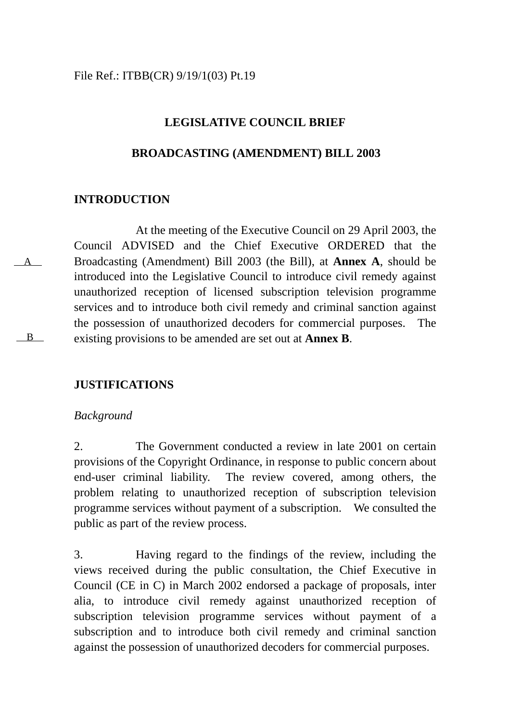## **LEGISLATIVE COUNCIL BRIEF**

### **BROADCASTING (AMENDMENT) BILL 2003**

## **INTRODUCTION**

A

B

At the meeting of the Executive Council on 29 April 2003, the Council ADVISED and the Chief Executive ORDERED that the Broadcasting (Amendment) Bill 2003 (the Bill), at **Annex A**, should be introduced into the Legislative Council to introduce civil remedy against unauthorized reception of licensed subscription television programme services and to introduce both civil remedy and criminal sanction against the possession of unauthorized decoders for commercial purposes. The existing provisions to be amended are set out at **Annex B**.

## **JUSTIFICATIONS**

### *Background*

2. The Government conducted a review in late 2001 on certain provisions of the Copyright Ordinance, in response to public concern about end-user criminal liability. The review covered, among others, the problem relating to unauthorized reception of subscription television programme services without payment of a subscription. We consulted the public as part of the review process.

3. Having regard to the findings of the review, including the views received during the public consultation, the Chief Executive in Council (CE in C) in March 2002 endorsed a package of proposals, inter alia, to introduce civil remedy against unauthorized reception of subscription television programme services without payment of a subscription and to introduce both civil remedy and criminal sanction against the possession of unauthorized decoders for commercial purposes.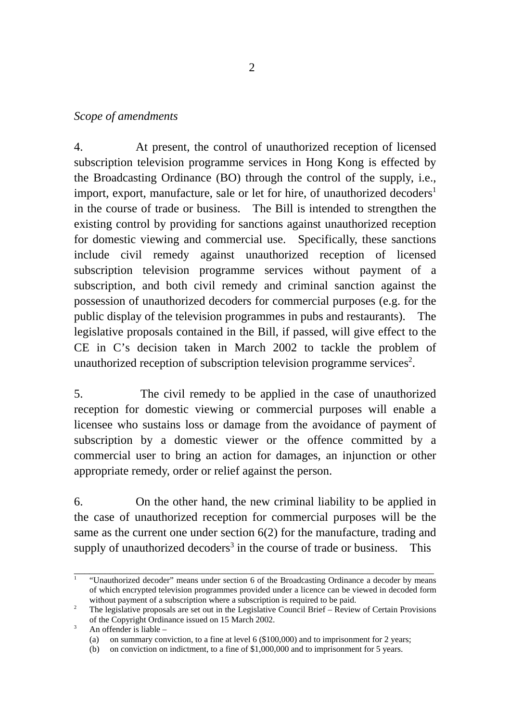## *Scope of amendments*

4. At present, the control of unauthorized reception of licensed subscription television programme services in Hong Kong is effected by the Broadcasting Ordinance (BO) through the control of the supply, i.e., import, export, manufacture, sale or let for hire, of unauthorized decoders<sup>[1](#page-1-0)</sup> in the course of trade or business. The Bill is intended to strengthen the existing control by providing for sanctions against unauthorized reception for domestic viewing and commercial use. Specifically, these sanctions include civil remedy against unauthorized reception of licensed subscription television programme services without payment of a subscription, and both civil remedy and criminal sanction against the possession of unauthorized decoders for commercial purposes (e.g. for the public display of the television programmes in pubs and restaurants). The legislative proposals contained in the Bill, if passed, will give effect to the CE in C's decision taken in March 2002 to tackle the problem of unauthorized reception of subscription television programme services<sup>2</sup>.

5. The civil remedy to be applied in the case of unauthorized reception for domestic viewing or commercial purposes will enable a licensee who sustains loss or damage from the avoidance of payment of subscription by a domestic viewer or the offence committed by a commercial user to bring an action for damages, an injunction or other appropriate remedy, order or relief against the person.

6. On the other hand, the new criminal liability to be applied in the case of unauthorized reception for commercial purposes will be the same as the current one under section 6(2) for the manufacture, trading and supply of unauthorized decoders<sup>[3](#page-1-2)</sup> in the course of trade or business. This

\_\_\_\_\_\_\_\_\_\_\_\_\_\_\_\_\_\_\_\_\_\_\_\_\_\_\_\_\_\_\_\_\_\_\_\_\_\_\_\_\_\_\_\_\_\_\_\_\_\_\_\_\_\_\_\_\_\_\_\_\_\_\_\_\_\_\_\_\_\_

<span id="page-1-0"></span><sup>1</sup> "Unauthorized decoder" means under section 6 of the Broadcasting Ordinance a decoder by means of which encrypted television programmes provided under a licence can be viewed in decoded form without payment of a subscription where a subscription is required to be paid.

<span id="page-1-1"></span><sup>&</sup>lt;sup>2</sup> The legislative proposals are set out in the Legislative Council Brief – Review of Certain Provisions of the Copyright Ordinance issued on 15 March 2002.

<span id="page-1-2"></span> $3$  An offender is liable –

<sup>(</sup>a) on summary conviction, to a fine at level 6 (\$100,000) and to imprisonment for 2 years;

<sup>(</sup>b) on conviction on indictment, to a fine of \$1,000,000 and to imprisonment for 5 years.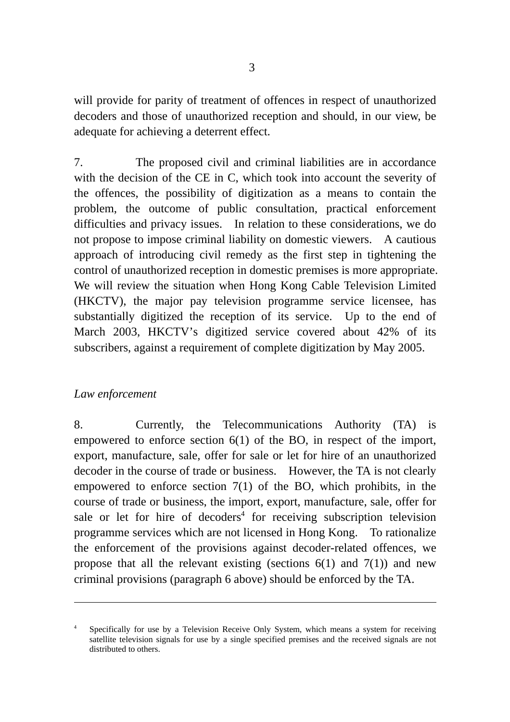will provide for parity of treatment of offences in respect of unauthorized decoders and those of unauthorized reception and should, in our view, be adequate for achieving a deterrent effect.

7. The proposed civil and criminal liabilities are in accordance with the decision of the CE in C, which took into account the severity of the offences, the possibility of digitization as a means to contain the problem, the outcome of public consultation, practical enforcement difficulties and privacy issues. In relation to these considerations, we do not propose to impose criminal liability on domestic viewers. A cautious approach of introducing civil remedy as the first step in tightening the control of unauthorized reception in domestic premises is more appropriate. We will review the situation when Hong Kong Cable Television Limited (HKCTV), the major pay television programme service licensee, has substantially digitized the reception of its service. Up to the end of March 2003, HKCTV's digitized service covered about 42% of its subscribers, against a requirement of complete digitization by May 2005.

## *Law enforcement*

 $\overline{a}$ 

8. Currently, the Telecommunications Authority (TA) is empowered to enforce section 6(1) of the BO, in respect of the import, export, manufacture, sale, offer for sale or let for hire of an unauthorized decoder in the course of trade or business. However, the TA is not clearly empowered to enforce section 7(1) of the BO, which prohibits, in the course of trade or business, the i[mp](#page-2-0)ort, export, manufacture, sale, offer for sale or let for hire of decoders<sup>4</sup> for receiving subscription television programme services which are not licensed in Hong Kong. To rationalize the enforcement of the provisions against decoder-related offences, we propose that all the relevant existing (sections  $6(1)$  and  $7(1)$ ) and new criminal provisions (paragraph 6 above) should be enforced by the TA.

<span id="page-2-0"></span>Specifically for use by a Television Receive Only System, which means a system for receiving satellite television signals for use by a single specified premises and the received signals are not distributed to others.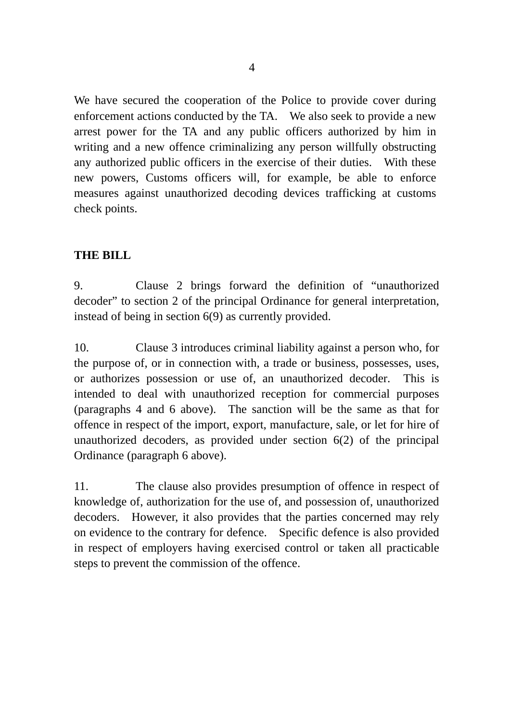We have secured the cooperation of the Police to provide cover during enforcement actions conducted by the TA. We also seek to provide a new arrest power for the TA and any public officers authorized by him in writing and a new offence criminalizing any person willfully obstructing any authorized public officers in the exercise of their duties. With these new powers, Customs officers will, for example, be able to enforce measures against unauthorized decoding devices trafficking at customs check points.

# **THE BILL**

9. Clause 2 brings forward the definition of "unauthorized decoder" to section 2 of the principal Ordinance for general interpretation, instead of being in section 6(9) as currently provided.

10. Clause 3 introduces criminal liability against a person who, for the purpose of, or in connection with, a trade or business, possesses, uses, or authorizes possession or use of, an unauthorized decoder. This is intended to deal with unauthorized reception for commercial purposes (paragraphs 4 and 6 above). The sanction will be the same as that for offence in respect of the import, export, manufacture, sale, or let for hire of unauthorized decoders, as provided under section 6(2) of the principal Ordinance (paragraph 6 above).

11. The clause also provides presumption of offence in respect of knowledge of, authorization for the use of, and possession of, unauthorized decoders. However, it also provides that the parties concerned may rely on evidence to the contrary for defence. Specific defence is also provided in respect of employers having exercised control or taken all practicable steps to prevent the commission of the offence.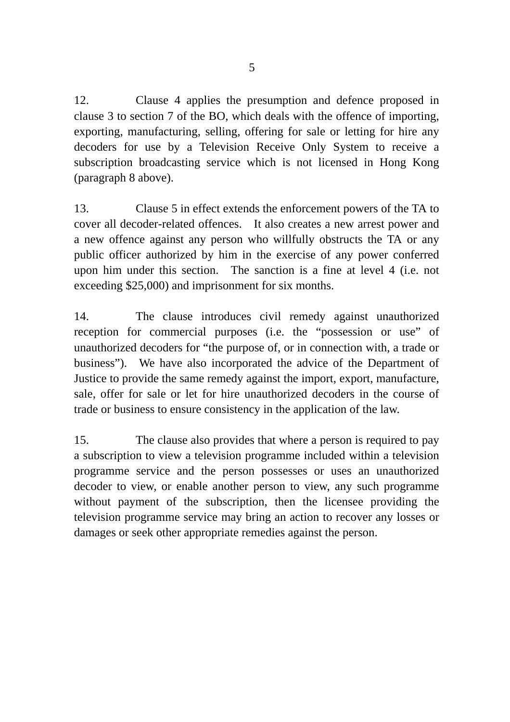12. Clause 4 applies the presumption and defence proposed in clause 3 to section 7 of the BO, which deals with the offence of importing, exporting, manufacturing, selling, offering for sale or letting for hire any decoders for use by a Television Receive Only System to receive a subscription broadcasting service which is not licensed in Hong Kong (paragraph 8 above).

13. Clause 5 in effect extends the enforcement powers of the TA to cover all decoder-related offences. It also creates a new arrest power and a new offence against any person who willfully obstructs the TA or any public officer authorized by him in the exercise of any power conferred upon him under this section. The sanction is a fine at level 4 (i.e. not exceeding \$25,000) and imprisonment for six months.

14. The clause introduces civil remedy against unauthorized reception for commercial purposes (i.e. the "possession or use" of unauthorized decoders for "the purpose of, or in connection with, a trade or business"). We have also incorporated the advice of the Department of Justice to provide the same remedy against the import, export, manufacture, sale, offer for sale or let for hire unauthorized decoders in the course of trade or business to ensure consistency in the application of the law.

15. The clause also provides that where a person is required to pay a subscription to view a television programme included within a television programme service and the person possesses or uses an unauthorized decoder to view, or enable another person to view, any such programme without payment of the subscription, then the licensee providing the television programme service may bring an action to recover any losses or damages or seek other appropriate remedies against the person.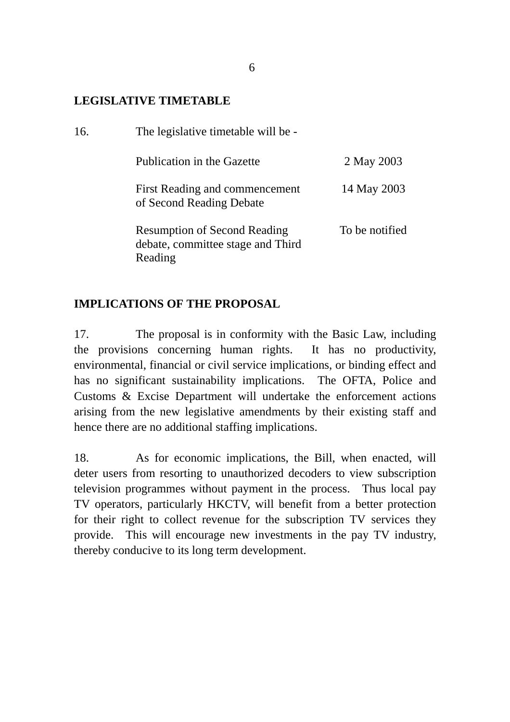## **LEGISLATIVE TIMETABLE**

| 16. | The legislative timetable will be -                                                 |                |  |  |  |  |
|-----|-------------------------------------------------------------------------------------|----------------|--|--|--|--|
|     | Publication in the Gazette                                                          | 2 May 2003     |  |  |  |  |
|     | First Reading and commencement<br>of Second Reading Debate                          | 14 May 2003    |  |  |  |  |
|     | <b>Resumption of Second Reading</b><br>debate, committee stage and Third<br>Reading | To be notified |  |  |  |  |

# **IMPLICATIONS OF THE PROPOSAL**

17. The proposal is in conformity with the Basic Law, including the provisions concerning human rights. It has no productivity, environmental, financial or civil service implications, or binding effect and has no significant sustainability implications. The OFTA, Police and Customs & Excise Department will undertake the enforcement actions arising from the new legislative amendments by their existing staff and hence there are no additional staffing implications.

18. As for economic implications, the Bill, when enacted, will deter users from resorting to unauthorized decoders to view subscription television programmes without payment in the process. Thus local pay TV operators, particularly HKCTV, will benefit from a better protection for their right to collect revenue for the subscription TV services they provide. This will encourage new investments in the pay TV industry, thereby conducive to its long term development.

6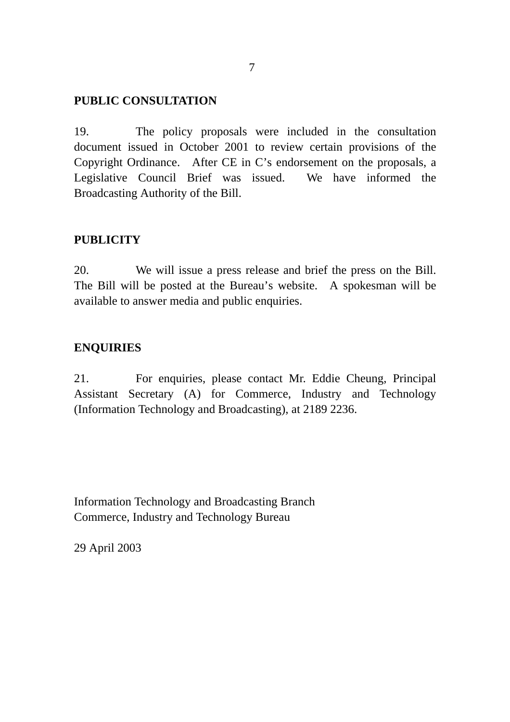## **PUBLIC CONSULTATION**

19. The policy proposals were included in the consultation document issued in October 2001 to review certain provisions of the Copyright Ordinance. After CE in C's endorsement on the proposals, a Legislative Council Brief was issued. We have informed the Broadcasting Authority of the Bill.

## **PUBLICITY**

20. We will issue a press release and brief the press on the Bill. The Bill will be posted at the Bureau's website. A spokesman will be available to answer media and public enquiries.

## **ENQUIRIES**

21. For enquiries, please contact Mr. Eddie Cheung, Principal Assistant Secretary (A) for Commerce, Industry and Technology (Information Technology and Broadcasting), at 2189 2236.

Information Technology and Broadcasting Branch Commerce, Industry and Technology Bureau

29 April 2003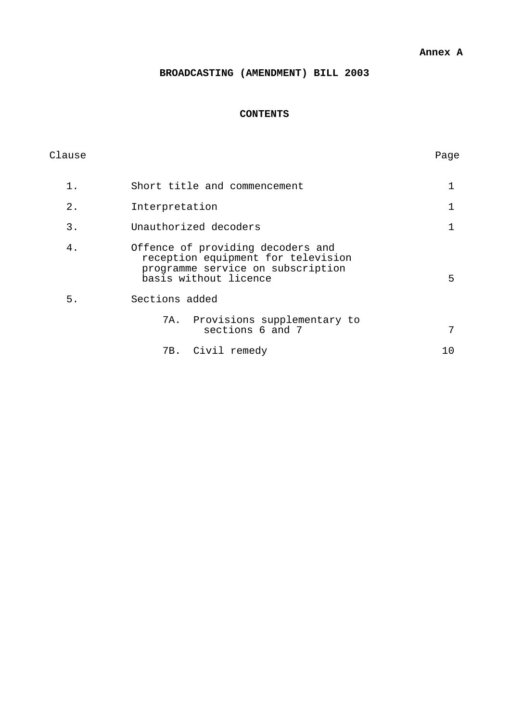#### **Annex A**

### **BROADCASTING (AMENDMENT) BILL 2003**

### **CONTENTS**

| Clause |                                                                                                                                       | Page |  |  |
|--------|---------------------------------------------------------------------------------------------------------------------------------------|------|--|--|
| $1$ .  | Short title and commencement                                                                                                          |      |  |  |
| $2$ .  | Interpretation                                                                                                                        |      |  |  |
| 3.     | Unauthorized decoders                                                                                                                 |      |  |  |
| 4.     | Offence of providing decoders and<br>reception equipment for television<br>programme service on subscription<br>basis without licence |      |  |  |
| 5.     | Sections added                                                                                                                        |      |  |  |
|        | 7A. Provisions supplementary to<br>sections 6 and 7                                                                                   | 7    |  |  |
|        | 7B. Civil remedy                                                                                                                      | 10   |  |  |
|        |                                                                                                                                       |      |  |  |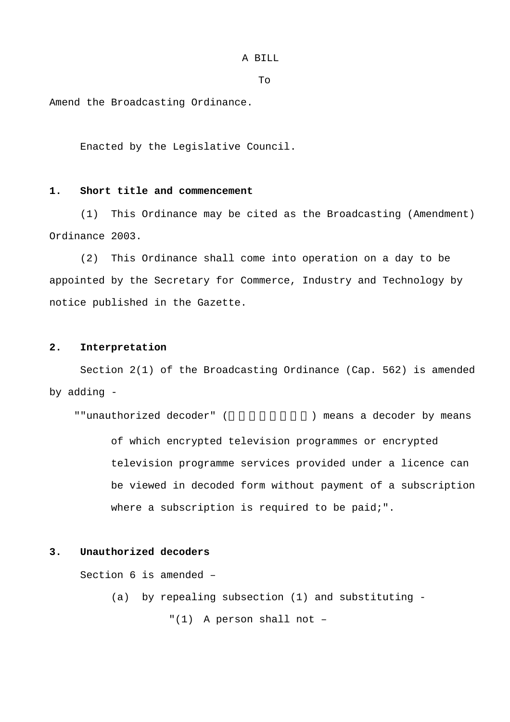A BILL

To

Amend the Broadcasting Ordinance.

Enacted by the Legislative Council.

#### **1. Short title and commencement**

(1) This Ordinance may be cited as the Broadcasting (Amendment) Ordinance 2003.

(2) This Ordinance shall come into operation on a day to be appointed by the Secretary for Commerce, Industry and Technology by notice published in the Gazette.

### **2. Interpretation**

Section 2(1) of the Broadcasting Ordinance (Cap. 562) is amended by adding -

""unauthorized decoder" (  $\qquad \qquad$ ) means a decoder by means of which encrypted television programmes or encrypted television programme services provided under a licence can be viewed in decoded form without payment of a subscription where a subscription is required to be paid;".

### **3. Unauthorized decoders**

Section 6 is amended –

(a) by repealing subsection (1) and substituting -

"(1) A person shall not –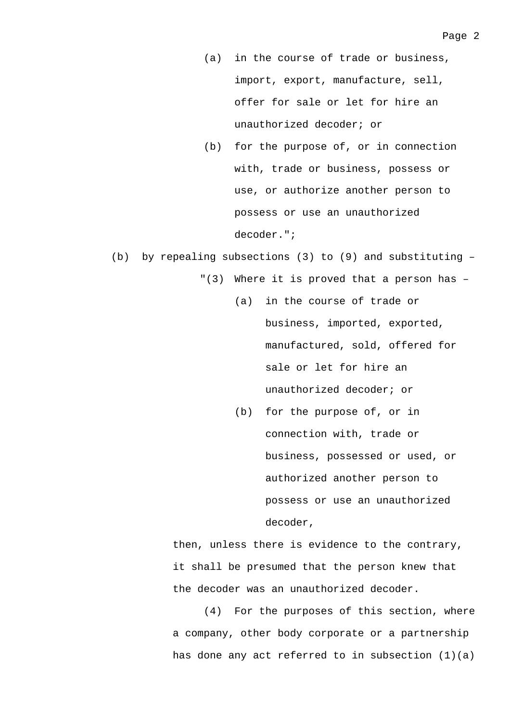- (a) in the course of trade or business, import, export, manufacture, sell, offer for sale or let for hire an unauthorized decoder; or
- (b) for the purpose of, or in connection with, trade or business, possess or use, or authorize another person to possess or use an unauthorized decoder.";
- (b) by repealing subsections (3) to (9) and substituting
	- "(3) Where it is proved that a person has
		- (a) in the course of trade or business, imported, exported, manufactured, sold, offered for sale or let for hire an unauthorized decoder; or
		- (b) for the purpose of, or in connection with, trade or business, possessed or used, or authorized another person to possess or use an unauthorized decoder,

then, unless there is evidence to the contrary, it shall be presumed that the person knew that the decoder was an unauthorized decoder.

(4) For the purposes of this section, where a company, other body corporate or a partnership has done any act referred to in subsection  $(1)(a)$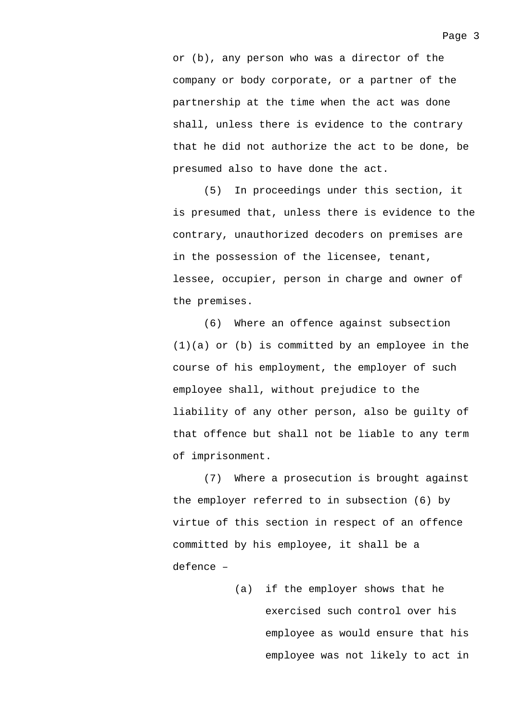or (b), any person who was a director of the company or body corporate, or a partner of the partnership at the time when the act was done shall, unless there is evidence to the contrary that he did not authorize the act to be done, be presumed also to have done the act.

(5) In proceedings under this section, it is presumed that, unless there is evidence to the contrary, unauthorized decoders on premises are in the possession of the licensee, tenant, lessee, occupier, person in charge and owner of the premises.

(6) Where an offence against subsection (1)(a) or (b) is committed by an employee in the course of his employment, the employer of such employee shall, without prejudice to the liability of any other person, also be guilty of that offence but shall not be liable to any term of imprisonment.

(7) Where a prosecution is brought against the employer referred to in subsection (6) by virtue of this section in respect of an offence committed by his employee, it shall be a defence –

> (a) if the employer shows that he exercised such control over his employee as would ensure that his employee was not likely to act in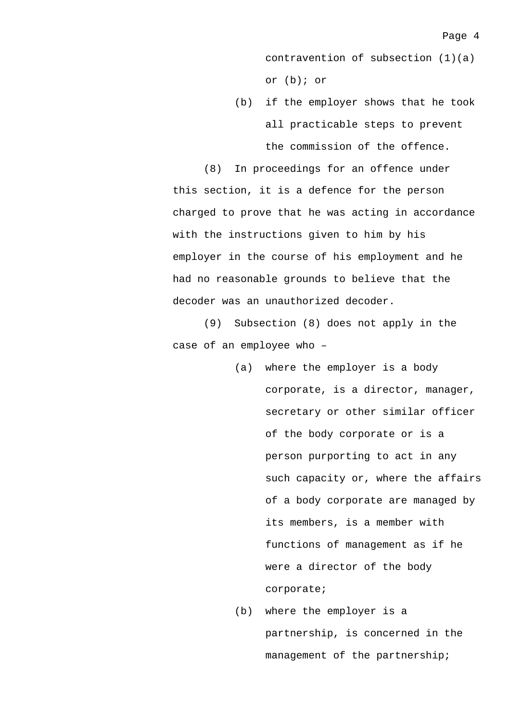contravention of subsection (1)(a) or (b); or

(b) if the employer shows that he took all practicable steps to prevent the commission of the offence.

(8) In proceedings for an offence under this section, it is a defence for the person charged to prove that he was acting in accordance with the instructions given to him by his employer in the course of his employment and he had no reasonable grounds to believe that the decoder was an unauthorized decoder.

(9) Subsection (8) does not apply in the case of an employee who –

- (a) where the employer is a body corporate, is a director, manager, secretary or other similar officer of the body corporate or is a person purporting to act in any such capacity or, where the affairs of a body corporate are managed by its members, is a member with functions of management as if he were a director of the body corporate;
- (b) where the employer is a partnership, is concerned in the management of the partnership;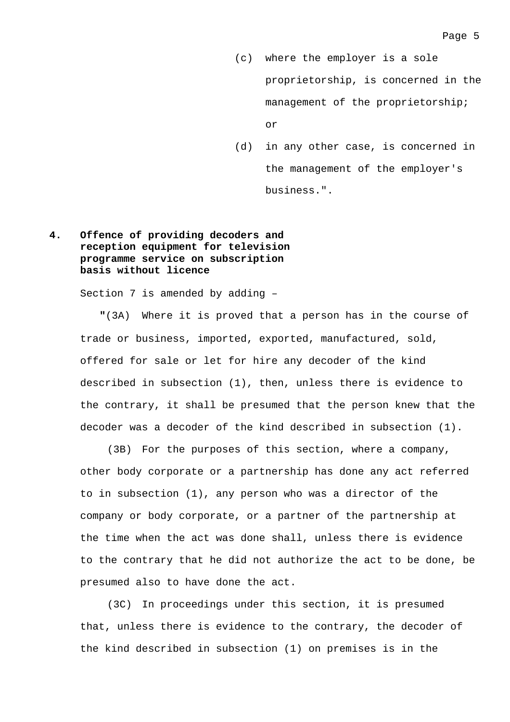(c) where the employer is a sole proprietorship, is concerned in the management of the proprietorship; or

(d) in any other case, is concerned in the management of the employer's business.".

### **4. Offence of providing decoders and reception equipment for television programme service on subscription basis without licence**

Section 7 is amended by adding –

**"**(3A) Where it is proved that a person has in the course of trade or business, imported, exported, manufactured, sold, offered for sale or let for hire any decoder of the kind described in subsection (1), then, unless there is evidence to the contrary, it shall be presumed that the person knew that the decoder was a decoder of the kind described in subsection (1).

(3B) For the purposes of this section, where a company, other body corporate or a partnership has done any act referred to in subsection (1), any person who was a director of the company or body corporate, or a partner of the partnership at the time when the act was done shall, unless there is evidence to the contrary that he did not authorize the act to be done, be presumed also to have done the act.

(3C) In proceedings under this section, it is presumed that, unless there is evidence to the contrary, the decoder of the kind described in subsection (1) on premises is in the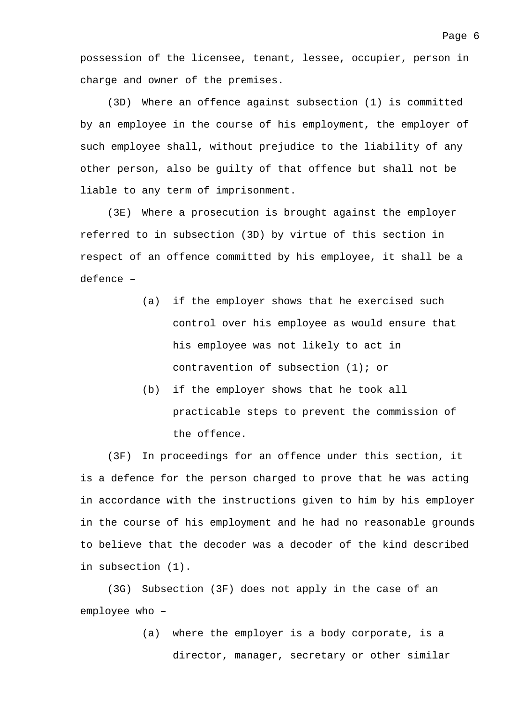possession of the licensee, tenant, lessee, occupier, person in charge and owner of the premises.

(3D) Where an offence against subsection (1) is committed by an employee in the course of his employment, the employer of such employee shall, without prejudice to the liability of any other person, also be guilty of that offence but shall not be liable to any term of imprisonment.

(3E) Where a prosecution is brought against the employer referred to in subsection (3D) by virtue of this section in respect of an offence committed by his employee, it shall be a defence –

- (a) if the employer shows that he exercised such control over his employee as would ensure that his employee was not likely to act in contravention of subsection (1); or
- (b) if the employer shows that he took all practicable steps to prevent the commission of the offence.

(3F) In proceedings for an offence under this section, it is a defence for the person charged to prove that he was acting in accordance with the instructions given to him by his employer in the course of his employment and he had no reasonable grounds to believe that the decoder was a decoder of the kind described in subsection (1).

(3G) Subsection (3F) does not apply in the case of an employee who –

> (a) where the employer is a body corporate, is a director, manager, secretary or other similar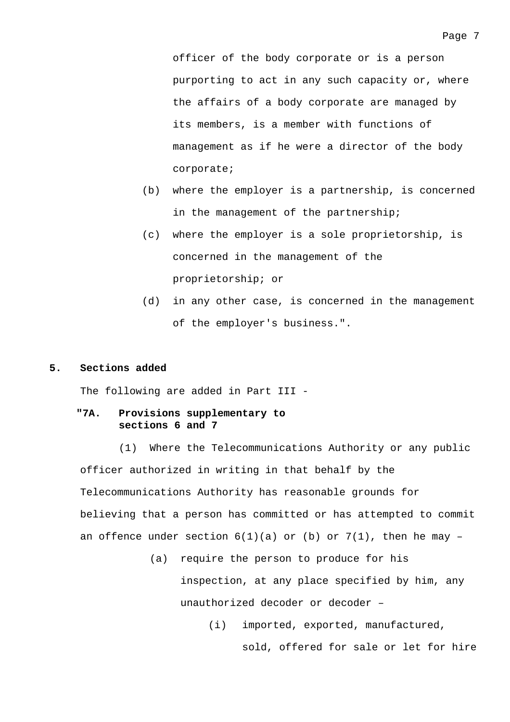officer of the body corporate or is a person purporting to act in any such capacity or, where the affairs of a body corporate are managed by its members, is a member with functions of management as if he were a director of the body corporate;

- (b) where the employer is a partnership, is concerned in the management of the partnership;
- (c) where the employer is a sole proprietorship, is concerned in the management of the proprietorship; or
- (d) in any other case, is concerned in the management of the employer's business.".

#### **5. Sections added**

The following are added in Part III -

#### **"7A. Provisions supplementary to sections 6 and 7**

(1) Where the Telecommunications Authority or any public officer authorized in writing in that behalf by the Telecommunications Authority has reasonable grounds for believing that a person has committed or has attempted to commit an offence under section  $6(1)(a)$  or (b) or  $7(1)$ , then he may -

> (a) require the person to produce for his inspection, at any place specified by him, any unauthorized decoder or decoder –

> > (i) imported, exported, manufactured,

sold, offered for sale or let for hire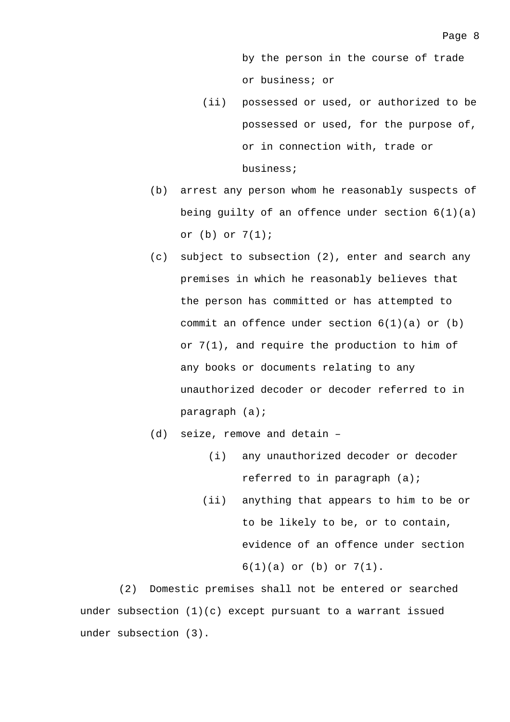by the person in the course of trade or business; or

- (ii) possessed or used, or authorized to be possessed or used, for the purpose of, or in connection with, trade or business;
- (b) arrest any person whom he reasonably suspects of being guilty of an offence under section  $6(1)(a)$ or (b) or 7(1);
- (c) subject to subsection (2), enter and search any premises in which he reasonably believes that the person has committed or has attempted to commit an offence under section  $6(1)(a)$  or  $(b)$ or 7(1), and require the production to him of any books or documents relating to any unauthorized decoder or decoder referred to in paragraph (a);
- (d) seize, remove and detain
	- (i) any unauthorized decoder or decoder referred to in paragraph (a);
	- (ii) anything that appears to him to be or to be likely to be, or to contain, evidence of an offence under section 6(1)(a) or (b) or 7(1).

(2) Domestic premises shall not be entered or searched under subsection  $(1)(c)$  except pursuant to a warrant issued under subsection (3).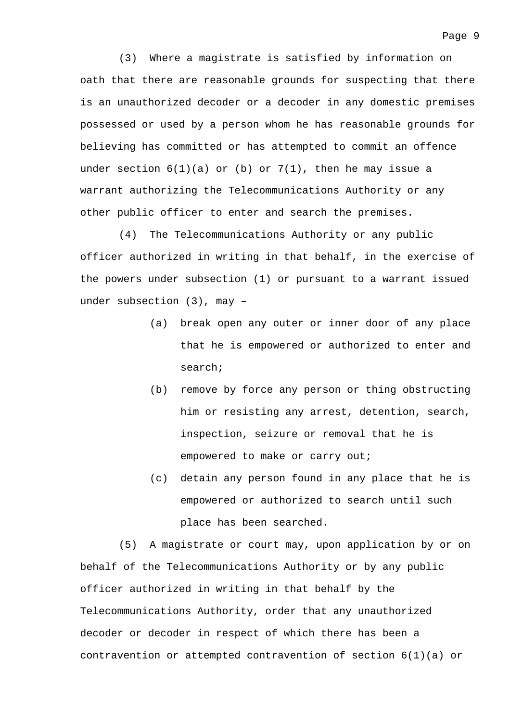(3) Where a magistrate is satisfied by information on oath that there are reasonable grounds for suspecting that there is an unauthorized decoder or a decoder in any domestic premises possessed or used by a person whom he has reasonable grounds for believing has committed or has attempted to commit an offence under section  $6(1)(a)$  or (b) or  $7(1)$ , then he may issue a warrant authorizing the Telecommunications Authority or any other public officer to enter and search the premises.

(4) The Telecommunications Authority or any public officer authorized in writing in that behalf, in the exercise of the powers under subsection (1) or pursuant to a warrant issued under subsection (3), may –

- (a) break open any outer or inner door of any place that he is empowered or authorized to enter and search;
- (b) remove by force any person or thing obstructing him or resisting any arrest, detention, search, inspection, seizure or removal that he is empowered to make or carry out;
- (c) detain any person found in any place that he is empowered or authorized to search until such place has been searched.

(5) A magistrate or court may, upon application by or on behalf of the Telecommunications Authority or by any public officer authorized in writing in that behalf by the Telecommunications Authority, order that any unauthorized decoder or decoder in respect of which there has been a contravention or attempted contravention of section  $6(1)(a)$  or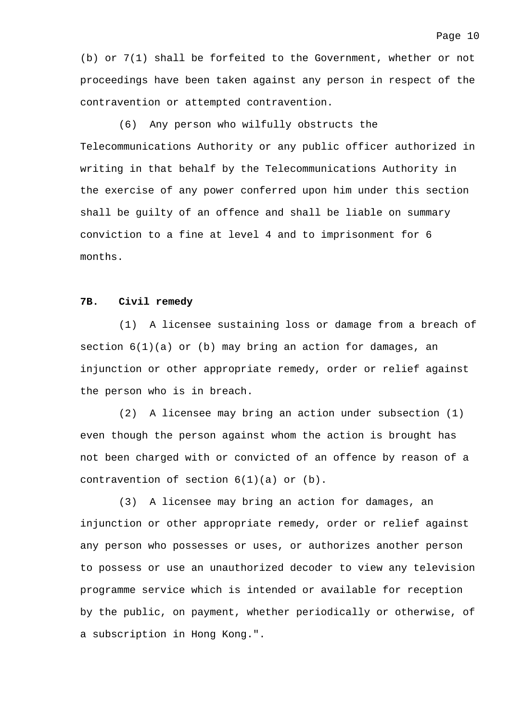(b) or 7(1) shall be forfeited to the Government, whether or not proceedings have been taken against any person in respect of the contravention or attempted contravention.

(6) Any person who wilfully obstructs the Telecommunications Authority or any public officer authorized in writing in that behalf by the Telecommunications Authority in the exercise of any power conferred upon him under this section shall be guilty of an offence and shall be liable on summary conviction to a fine at level 4 and to imprisonment for 6 months.

#### **7B. Civil remedy**

(1) A licensee sustaining loss or damage from a breach of section 6(1)(a) or (b) may bring an action for damages, an injunction or other appropriate remedy, order or relief against the person who is in breach.

(2) A licensee may bring an action under subsection (1) even though the person against whom the action is brought has not been charged with or convicted of an offence by reason of a contravention of section  $6(1)(a)$  or  $(b)$ .

(3) A licensee may bring an action for damages, an injunction or other appropriate remedy, order or relief against any person who possesses or uses, or authorizes another person to possess or use an unauthorized decoder to view any television programme service which is intended or available for reception by the public, on payment, whether periodically or otherwise, of a subscription in Hong Kong.".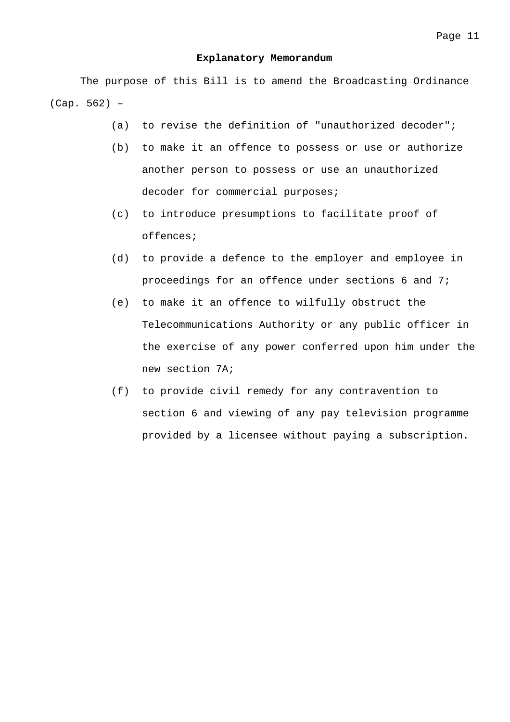#### **Explanatory Memorandum**

The purpose of this Bill is to amend the Broadcasting Ordinance (Cap. 562) –

- (a) to revise the definition of "unauthorized decoder";
- (b) to make it an offence to possess or use or authorize another person to possess or use an unauthorized decoder for commercial purposes;
- (c) to introduce presumptions to facilitate proof of offences;
- (d) to provide a defence to the employer and employee in proceedings for an offence under sections 6 and 7;
- (e) to make it an offence to wilfully obstruct the Telecommunications Authority or any public officer in the exercise of any power conferred upon him under the new section 7A;
- (f) to provide civil remedy for any contravention to section 6 and viewing of any pay television programme provided by a licensee without paying a subscription.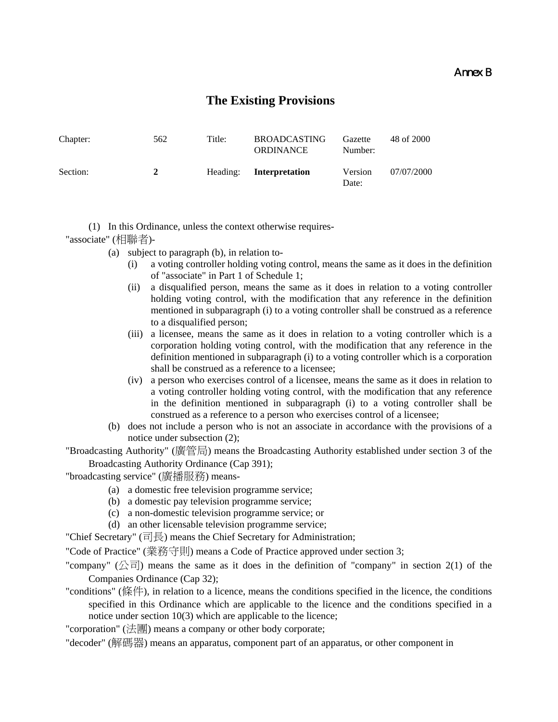### Annex B

## **The Existing Provisions**

| Chapter: | 562 | Title:   | <b>BROADCASTING</b><br><b>ORDINANCE</b> | Gazette<br>Number: | 48 of 2000 |
|----------|-----|----------|-----------------------------------------|--------------------|------------|
| Section: | 2   | Heading: | Interpretation                          | Version<br>Date:   | 07/07/2000 |

(1) In this Ordinance, unless the context otherwise requires-

"associate" (相聯者)-

- (a) subject to paragraph (b), in relation to-
	- (i) a voting controller holding voting control, means the same as it does in the definition of "associate" in Part 1 of Schedule 1;
	- (ii) a disqualified person, means the same as it does in relation to a voting controller holding voting control, with the modification that any reference in the definition mentioned in subparagraph (i) to a voting controller shall be construed as a reference to a disqualified person;
	- (iii) a licensee, means the same as it does in relation to a voting controller which is a corporation holding voting control, with the modification that any reference in the definition mentioned in subparagraph (i) to a voting controller which is a corporation shall be construed as a reference to a licensee;
	- (iv) a person who exercises control of a licensee, means the same as it does in relation to a voting controller holding voting control, with the modification that any reference in the definition mentioned in subparagraph (i) to a voting controller shall be construed as a reference to a person who exercises control of a licensee;
- (b) does not include a person who is not an associate in accordance with the provisions of a notice under subsection (2);
- "Broadcasting Authority" (廣管局) means the Broadcasting Authority established under section 3 of the Broadcasting Authority Ordinance (Cap 391);

"broadcasting service" (廣播服務) means-

- (a) a domestic free television programme service;
- (b) a domestic pay television programme service;
- (c) a non-domestic television programme service; or
- (d) an other licensable television programme service;

"Chief Secretary" (司長) means the Chief Secretary for Administration;

"Code of Practice" (業務守則) means a Code of Practice approved under section 3;

- "company" (公司) means the same as it does in the definition of "company" in section 2(1) of the Companies Ordinance (Cap 32);
- "conditions" (條件), in relation to a licence, means the conditions specified in the licence, the conditions specified in this Ordinance which are applicable to the licence and the conditions specified in a notice under section 10(3) which are applicable to the licence;

"corporation" (法團) means a company or other body corporate;

"decoder" (解碼器) means an apparatus, component part of an apparatus, or other component in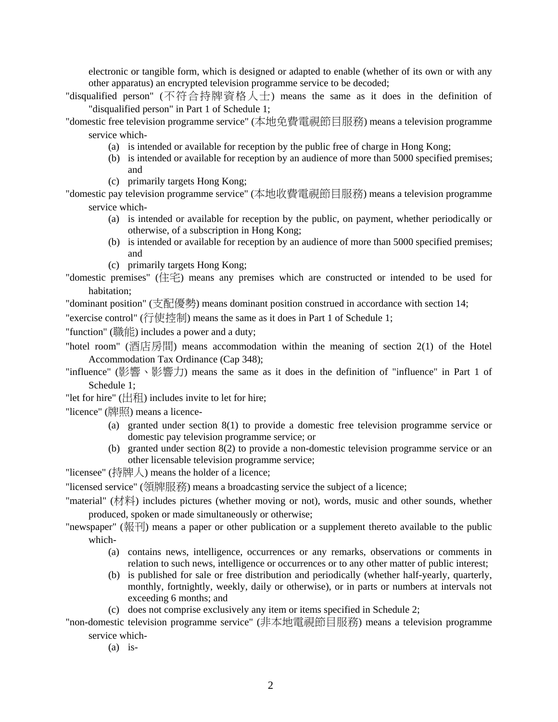electronic or tangible form, which is designed or adapted to enable (whether of its own or with any other apparatus) an encrypted television programme service to be decoded;

"disqualified person" (不符合持牌資格人士) means the same as it does in the definition of "disqualified person" in Part 1 of Schedule 1;

"domestic free television programme service" (本地免費電視節目服務) means a television programme service which-

- (a) is intended or available for reception by the public free of charge in Hong Kong;
- (b) is intended or available for reception by an audience of more than 5000 specified premises; and
- (c) primarily targets Hong Kong;

"domestic pay television programme service" (本地收費電視節目服務) means a television programme service which-

- (a) is intended or available for reception by the public, on payment, whether periodically or otherwise, of a subscription in Hong Kong;
- (b) is intended or available for reception by an audience of more than 5000 specified premises; and
- (c) primarily targets Hong Kong;

"domestic premises" (住宅) means any premises which are constructed or intended to be used for habitation;

"dominant position" (支配優勢) means dominant position construed in accordance with section 14;

"exercise control" (行使控制) means the same as it does in Part 1 of Schedule 1;

"function" (職能) includes a power and a duty;

"hotel room" (酒店房間) means accommodation within the meaning of section 2(1) of the Hotel Accommodation Tax Ordinance (Cap 348);

"influence" (影響、影響力) means the same as it does in the definition of "influence" in Part 1 of Schedule 1;

"let for hire"  $(\pm 1)$  includes invite to let for hire;

"licence" (牌照) means a licence-

- (a) granted under section 8(1) to provide a domestic free television programme service or domestic pay television programme service; or
- (b) granted under section 8(2) to provide a non-domestic television programme service or an other licensable television programme service;

"licensee" (持牌人) means the holder of a licence;

"licensed service" (領牌服務) means a broadcasting service the subject of a licence;

"material" (材料) includes pictures (whether moving or not), words, music and other sounds, whether produced, spoken or made simultaneously or otherwise;

"newspaper" (報刊) means a paper or other publication or a supplement thereto available to the public which-

- (a) contains news, intelligence, occurrences or any remarks, observations or comments in relation to such news, intelligence or occurrences or to any other matter of public interest;
- (b) is published for sale or free distribution and periodically (whether half-yearly, quarterly, monthly, fortnightly, weekly, daily or otherwise), or in parts or numbers at intervals not exceeding 6 months; and
- (c) does not comprise exclusively any item or items specified in Schedule 2;

"non-domestic television programme service" (非本地電視節目服務) means a television programme service which-

 $(a)$  is-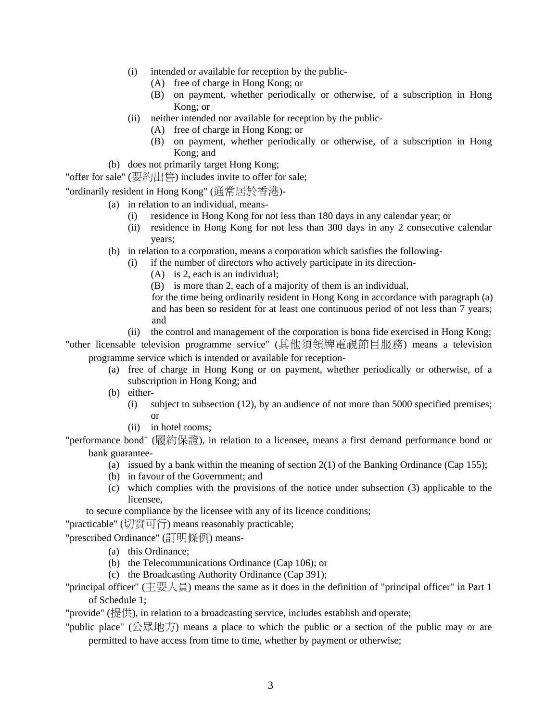- (i) intended or available for reception by the public-
	- (A) free of charge in Hong Kong; or
	- (B) on payment, whether periodically or otherwise, of a subscription in Hong Kong; or
- (ii) neither intended nor available for reception by the public-
	- (A) free of charge in Hong Kong; or
	- (B) on payment, whether periodically or otherwise, of a subscription in Hong Kong; and
- (b) does not primarily target Hong Kong;
- "offer for sale" (要約出售) includes invite to offer for sale;
- "ordinarily resident in Hong Kong" (通常居於香港)-
	- (a) in relation to an individual, means-
		- (i) residence in Hong Kong for not less than 180 days in any calendar year; or
		- (ii) residence in Hong Kong for not less than 300 days in any 2 consecutive calendar years;
	- (b) in relation to a corporation, means a corporation which satisfies the following-
		- (i) if the number of directors who actively participate in its direction-
			- (A) is 2, each is an individual;
			- (B) is more than 2, each of a majority of them is an individual,
			- for the time being ordinarily resident in Hong Kong in accordance with paragraph (a) and has been so resident for at least one continuous period of not less than 7 years; and
		- (ii) the control and management of the corporation is bona fide exercised in Hong Kong;
- "other licensable television programme service" (其他須領牌電視節目服務) means a television programme service which is intended or available for reception-
	- (a) free of charge in Hong Kong or on payment, whether periodically or otherwise, of a subscription in Hong Kong; and
	- (b) either-
		- (i) subject to subsection (12), by an audience of not more than 5000 specified premises; or
		- (ii) in hotel rooms;

"performance bond" (履約保證), in relation to a licensee, means a first demand performance bond or bank guarantee-

- (a) issued by a bank within the meaning of section  $2(1)$  of the Banking Ordinance (Cap 155);
- (b) in favour of the Government; and
- (c) which complies with the provisions of the notice under subsection (3) applicable to the licensee,
- to secure compliance by the licensee with any of its licence conditions;

"practicable" (切實可行) means reasonably practicable;

"prescribed Ordinance" (訂明條例) means-

- (a) this Ordinance;
- (b) the Telecommunications Ordinance (Cap 106); or
- (c) the Broadcasting Authority Ordinance (Cap 391);

"principal officer" (主要人員) means the same as it does in the definition of "principal officer" in Part 1 of Schedule 1;

"provide" (提供), in relation to a broadcasting service, includes establish and operate;

"public place" (公眾地方) means a place to which the public or a section of the public may or are permitted to have access from time to time, whether by payment or otherwise;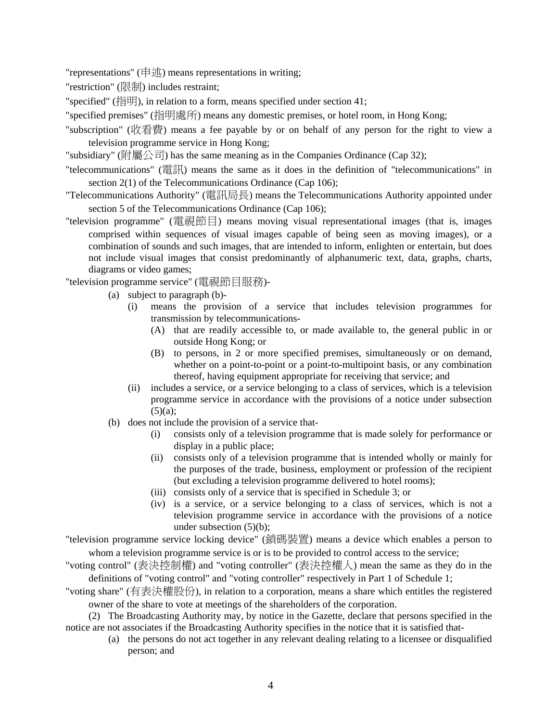"representations" (申述) means representations in writing;

"restriction" (限制) includes restraint;

"specified" (指明), in relation to a form, means specified under section 41;

"specified premises" (指明處所) means any domestic premises, or hotel room, in Hong Kong;

"subscription" (收看費) means a fee payable by or on behalf of any person for the right to view a television programme service in Hong Kong;

"subsidiary" (附屬公司) has the same meaning as in the Companies Ordinance (Cap 32);

"telecommunications" (電訊) means the same as it does in the definition of "telecommunications" in section 2(1) of the Telecommunications Ordinance (Cap 106);

"Telecommunications Authority" (電訊局長) means the Telecommunications Authority appointed under section 5 of the Telecommunications Ordinance (Cap 106);

"television programme" (電視節目) means moving visual representational images (that is, images comprised within sequences of visual images capable of being seen as moving images), or a combination of sounds and such images, that are intended to inform, enlighten or entertain, but does not include visual images that consist predominantly of alphanumeric text, data, graphs, charts, diagrams or video games;

"television programme service" (電視節目服務)-

- (a) subject to paragraph (b)-
	- (i) means the provision of a service that includes television programmes for transmission by telecommunications-
		- (A) that are readily accessible to, or made available to, the general public in or outside Hong Kong; or
		- (B) to persons, in 2 or more specified premises, simultaneously or on demand, whether on a point-to-point or a point-to-multipoint basis, or any combination thereof, having equipment appropriate for receiving that service; and
	- (ii) includes a service, or a service belonging to a class of services, which is a television programme service in accordance with the provisions of a notice under subsection  $(5)(a);$
- (b) does not include the provision of a service that-
	- (i) consists only of a television programme that is made solely for performance or display in a public place;
	- (ii) consists only of a television programme that is intended wholly or mainly for the purposes of the trade, business, employment or profession of the recipient (but excluding a television programme delivered to hotel rooms);
	- (iii) consists only of a service that is specified in Schedule 3; or
	- (iv) is a service, or a service belonging to a class of services, which is not a television programme service in accordance with the provisions of a notice under subsection (5)(b);

"television programme service locking device" (鎖碼裝置) means a device which enables a person to whom a television programme service is or is to be provided to control access to the service;

"voting control" (表決控制權) and "voting controller" (表決控權人) mean the same as they do in the definitions of "voting control" and "voting controller" respectively in Part 1 of Schedule 1;

"voting share" (有表決權股份), in relation to a corporation, means a share which entitles the registered owner of the share to vote at meetings of the shareholders of the corporation.

(2) The Broadcasting Authority may, by notice in the Gazette, declare that persons specified in the notice are not associates if the Broadcasting Authority specifies in the notice that it is satisfied that-

(a) the persons do not act together in any relevant dealing relating to a licensee or disqualified person; and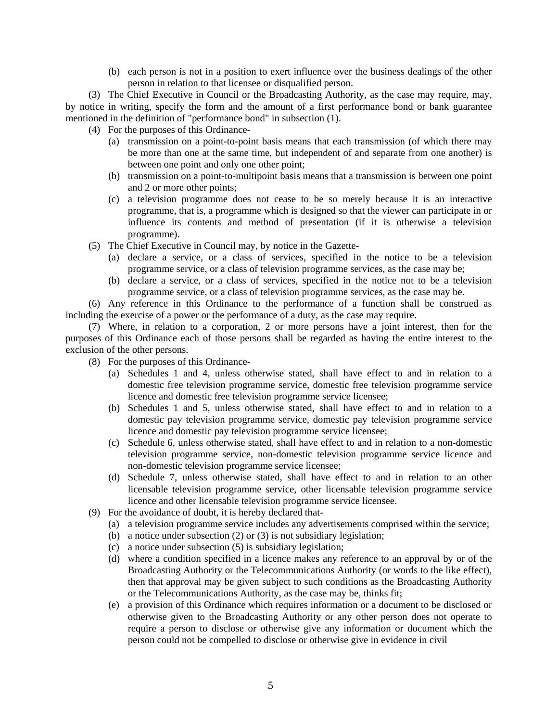(b) each person is not in a position to exert influence over the business dealings of the other person in relation to that licensee or disqualified person.

(3) The Chief Executive in Council or the Broadcasting Authority, as the case may require, may, by notice in writing, specify the form and the amount of a first performance bond or bank guarantee mentioned in the definition of "performance bond" in subsection (1).

(4) For the purposes of this Ordinance-

- (a) transmission on a point-to-point basis means that each transmission (of which there may be more than one at the same time, but independent of and separate from one another) is between one point and only one other point;
- (b) transmission on a point-to-multipoint basis means that a transmission is between one point and 2 or more other points;
- (c) a television programme does not cease to be so merely because it is an interactive programme, that is, a programme which is designed so that the viewer can participate in or influence its contents and method of presentation (if it is otherwise a television programme).
- (5) The Chief Executive in Council may, by notice in the Gazette-
	- (a) declare a service, or a class of services, specified in the notice to be a television programme service, or a class of television programme services, as the case may be;
	- (b) declare a service, or a class of services, specified in the notice not to be a television programme service, or a class of television programme services, as the case may be.

(6) Any reference in this Ordinance to the performance of a function shall be construed as including the exercise of a power or the performance of a duty, as the case may require.

(7) Where, in relation to a corporation, 2 or more persons have a joint interest, then for the purposes of this Ordinance each of those persons shall be regarded as having the entire interest to the exclusion of the other persons.

- (8) For the purposes of this Ordinance-
	- (a) Schedules 1 and 4, unless otherwise stated, shall have effect to and in relation to a domestic free television programme service, domestic free television programme service licence and domestic free television programme service licensee;
	- (b) Schedules 1 and 5, unless otherwise stated, shall have effect to and in relation to a domestic pay television programme service, domestic pay television programme service licence and domestic pay television programme service licensee;
	- (c) Schedule 6, unless otherwise stated, shall have effect to and in relation to a non-domestic television programme service, non-domestic television programme service licence and non-domestic television programme service licensee;
	- (d) Schedule 7, unless otherwise stated, shall have effect to and in relation to an other licensable television programme service, other licensable television programme service licence and other licensable television programme service licensee.
- (9) For the avoidance of doubt, it is hereby declared that-
	- (a) a television programme service includes any advertisements comprised within the service;
	- (b) a notice under subsection (2) or (3) is not subsidiary legislation;
	- (c) a notice under subsection (5) is subsidiary legislation;
	- (d) where a condition specified in a licence makes any reference to an approval by or of the Broadcasting Authority or the Telecommunications Authority (or words to the like effect), then that approval may be given subject to such conditions as the Broadcasting Authority or the Telecommunications Authority, as the case may be, thinks fit;
	- (e) a provision of this Ordinance which requires information or a document to be disclosed or otherwise given to the Broadcasting Authority or any other person does not operate to require a person to disclose or otherwise give any information or document which the person could not be compelled to disclose or otherwise give in evidence in civil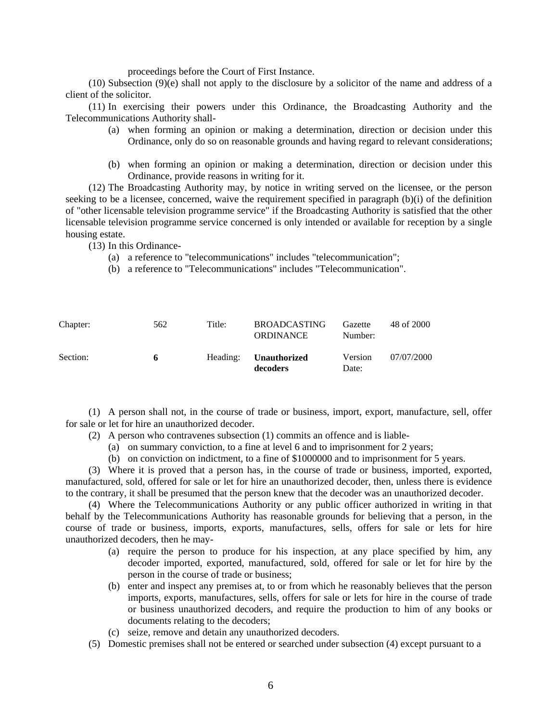proceedings before the Court of First Instance.

(10) Subsection (9)(e) shall not apply to the disclosure by a solicitor of the name and address of a client of the solicitor.

(11) In exercising their powers under this Ordinance, the Broadcasting Authority and the Telecommunications Authority shall-

- (a) when forming an opinion or making a determination, direction or decision under this Ordinance, only do so on reasonable grounds and having regard to relevant considerations;
- (b) when forming an opinion or making a determination, direction or decision under this Ordinance, provide reasons in writing for it.

(12) The Broadcasting Authority may, by notice in writing served on the licensee, or the person seeking to be a licensee, concerned, waive the requirement specified in paragraph (b)(i) of the definition of "other licensable television programme service" if the Broadcasting Authority is satisfied that the other licensable television programme service concerned is only intended or available for reception by a single housing estate.

(13) In this Ordinance-

- (a) a reference to "telecommunications" includes "telecommunication";
- (b) a reference to "Telecommunications" includes "Telecommunication".

| Chapter: | 562 | Title: | <b>BROADCASTING</b><br><b>ORDINANCE</b>  | Gazette<br>Number: | 48 of 2000 |
|----------|-----|--------|------------------------------------------|--------------------|------------|
| Section: | 6   |        | Heading: <b>Unauthorized</b><br>decoders | Version<br>Date:   | 07/07/2000 |

(1) A person shall not, in the course of trade or business, import, export, manufacture, sell, offer for sale or let for hire an unauthorized decoder.

- (2) A person who contravenes subsection (1) commits an offence and is liable-
	- (a) on summary conviction, to a fine at level 6 and to imprisonment for 2 years;
	- (b) on conviction on indictment, to a fine of \$1000000 and to imprisonment for 5 years.

(3) Where it is proved that a person has, in the course of trade or business, imported, exported, manufactured, sold, offered for sale or let for hire an unauthorized decoder, then, unless there is evidence to the contrary, it shall be presumed that the person knew that the decoder was an unauthorized decoder.

(4) Where the Telecommunications Authority or any public officer authorized in writing in that behalf by the Telecommunications Authority has reasonable grounds for believing that a person, in the course of trade or business, imports, exports, manufactures, sells, offers for sale or lets for hire unauthorized decoders, then he may-

- (a) require the person to produce for his inspection, at any place specified by him, any decoder imported, exported, manufactured, sold, offered for sale or let for hire by the person in the course of trade or business;
- (b) enter and inspect any premises at, to or from which he reasonably believes that the person imports, exports, manufactures, sells, offers for sale or lets for hire in the course of trade or business unauthorized decoders, and require the production to him of any books or documents relating to the decoders;
- (c) seize, remove and detain any unauthorized decoders.
- (5) Domestic premises shall not be entered or searched under subsection (4) except pursuant to a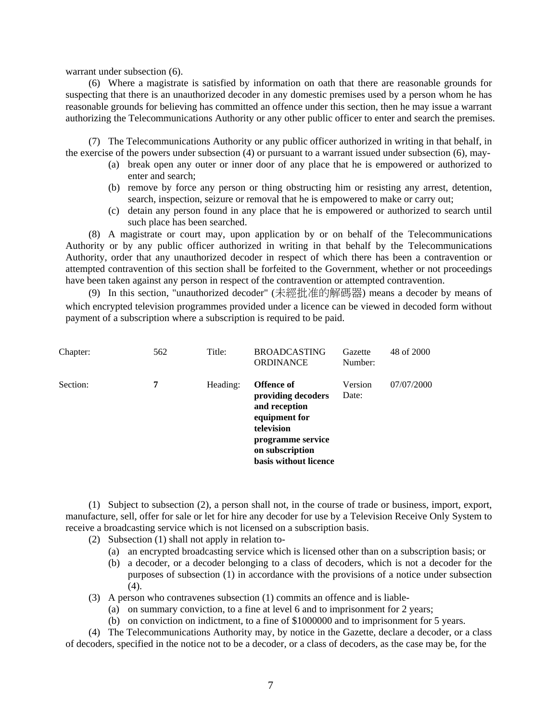warrant under subsection (6).

(6) Where a magistrate is satisfied by information on oath that there are reasonable grounds for suspecting that there is an unauthorized decoder in any domestic premises used by a person whom he has reasonable grounds for believing has committed an offence under this section, then he may issue a warrant authorizing the Telecommunications Authority or any other public officer to enter and search the premises.

(7) The Telecommunications Authority or any public officer authorized in writing in that behalf, in the exercise of the powers under subsection (4) or pursuant to a warrant issued under subsection (6), may-

- (a) break open any outer or inner door of any place that he is empowered or authorized to enter and search;
- (b) remove by force any person or thing obstructing him or resisting any arrest, detention, search, inspection, seizure or removal that he is empowered to make or carry out;
- (c) detain any person found in any place that he is empowered or authorized to search until such place has been searched.

(8) A magistrate or court may, upon application by or on behalf of the Telecommunications Authority or by any public officer authorized in writing in that behalf by the Telecommunications Authority, order that any unauthorized decoder in respect of which there has been a contravention or attempted contravention of this section shall be forfeited to the Government, whether or not proceedings have been taken against any person in respect of the contravention or attempted contravention.

(9) In this section, "unauthorized decoder" (未經批准的解碼器) means a decoder by means of which encrypted television programmes provided under a licence can be viewed in decoded form without payment of a subscription where a subscription is required to be paid.

| Chapter: | 562 | Title:   | <b>BROADCASTING</b><br><b>ORDINANCE</b>                                                                                                                  | Gazette<br>Number: | 48 of 2000 |
|----------|-----|----------|----------------------------------------------------------------------------------------------------------------------------------------------------------|--------------------|------------|
| Section: | 7   | Heading: | <b>Offence of</b><br>providing decoders<br>and reception<br>equipment for<br>television<br>programme service<br>on subscription<br>basis without licence | Version<br>Date:   | 07/07/2000 |

(1) Subject to subsection (2), a person shall not, in the course of trade or business, import, export, manufacture, sell, offer for sale or let for hire any decoder for use by a Television Receive Only System to receive a broadcasting service which is not licensed on a subscription basis.

- (2) Subsection (1) shall not apply in relation to-
	- (a) an encrypted broadcasting service which is licensed other than on a subscription basis; or
	- (b) a decoder, or a decoder belonging to a class of decoders, which is not a decoder for the purposes of subsection (1) in accordance with the provisions of a notice under subsection  $(4).$
- (3) A person who contravenes subsection (1) commits an offence and is liable-
	- (a) on summary conviction, to a fine at level 6 and to imprisonment for 2 years;
	- (b) on conviction on indictment, to a fine of \$1000000 and to imprisonment for 5 years.

(4) The Telecommunications Authority may, by notice in the Gazette, declare a decoder, or a class of decoders, specified in the notice not to be a decoder, or a class of decoders, as the case may be, for the